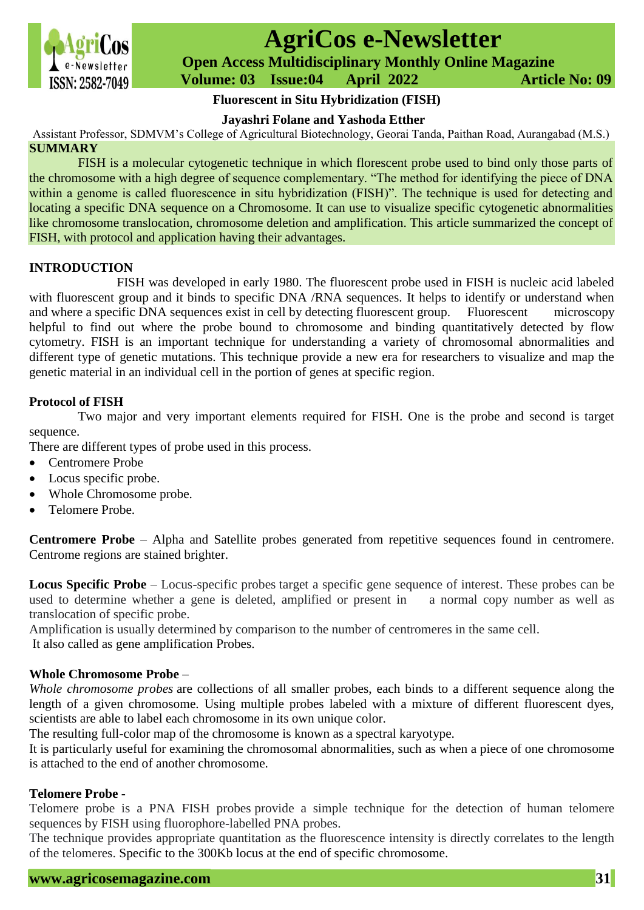

# **AgriCos e-Newsletter**

 **Open Access Multidisciplinary Monthly Online Magazine**

 **Volume: 03 Issue:04 April 2022 Article No: 09**

# **Fluorescent in Situ Hybridization (FISH)**

# **Jayashri Folane and Yashoda Etther**

Assistant Professor, SDMVM's College of Agricultural Biotechnology, Georai Tanda, Paithan Road, Aurangabad (M.S.) **SUMMARY**

FISH is a molecular cytogenetic technique in which florescent probe used to bind only those parts of the chromosome with a high degree of sequence complementary. "The method for identifying the piece of DNA within a genome is called fluorescence in situ hybridization (FISH)". The technique is used for detecting and locating a specific DNA sequence on a Chromosome. It can use to visualize specific cytogenetic abnormalities like chromosome translocation, chromosome deletion and amplification. This article summarized the concept of FISH, with protocol and application having their advantages.

## **INTRODUCTION**

FISH was developed in early 1980. The fluorescent probe used in FISH is nucleic acid labeled with fluorescent group and it binds to specific DNA /RNA sequences. It helps to identify or understand when and where a specific DNA sequences exist in cell by detecting fluorescent group. Fluorescent microscopy helpful to find out where the probe bound to chromosome and binding quantitatively detected by flow cytometry. FISH is an important technique for understanding a variety of chromosomal abnormalities and different type of genetic mutations. This technique provide a new era for researchers to visualize and map the genetic material in an individual cell in the portion of genes at specific region.

# **Protocol of FISH**

Two major and very important elements required for FISH. One is the probe and second is target sequence.

There are different types of probe used in this process.

- Centromere Probe
- Locus specific probe.
- Whole Chromosome probe.
- Telomere Probe.

**Centromere Probe** – Alpha and Satellite probes generated from repetitive sequences found in centromere. Centrome regions are stained brighter.

**Locus Specific Probe** – Locus-specific probes target a specific gene sequence of interest. These probes can be used to determine whether a gene is deleted, amplified or present in a normal copy number as well as translocation of specific probe.

Amplification is usually determined by comparison to the number of centromeres in the same cell. It also called as gene amplification Probes.

## **Whole Chromosome Probe** –

*Whole chromosome probes* are collections of all smaller probes, each binds to a different sequence along the length of a given chromosome. Using multiple probes labeled with a mixture of different fluorescent dyes, scientists are able to label each chromosome in its own unique color.

The resulting full-color map of the chromosome is known as a spectral karyotype.

It is particularly useful for examining the chromosomal abnormalities, such as when a piece of one chromosome is attached to the end of another chromosome.

## **Telomere Probe -**

Telomere probe is a PNA FISH probes provide a simple technique for the detection of human telomere sequences by FISH using fluorophore-labelled PNA probes.

The technique provides appropriate quantitation as the fluorescence intensity is directly correlates to the length of the telomeres. Specific to the 300Kb locus at the end of specific chromosome.